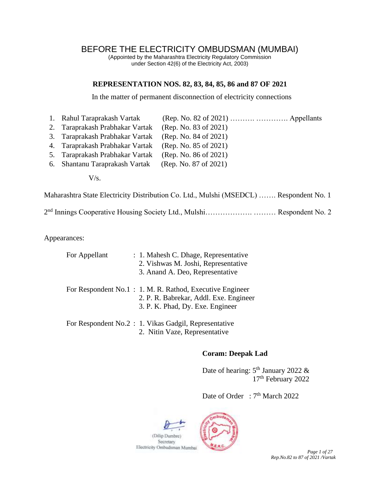# BEFORE THE ELECTRICITY OMBUDSMAN (MUMBAI)

(Appointed by the Maharashtra Electricity Regulatory Commission under Section 42(6) of the Electricity Act, 2003)

#### **REPRESENTATION NOS. 82, 83, 84, 85, 86 and 87 OF 2021**

In the matter of permanent disconnection of electricity connections

- 1. Rahul Taraprakash Vartak (Rep. No. 82 of 2021) ………. …………. Appellants 2. Taraprakash Prabhakar Vartak (Rep. No. 83 of 2021) 3. Taraprakash Prabhakar Vartak (Rep. No. 84 of 2021) 4. Taraprakash Prabhakar Vartak (Rep. No. 85 of 2021) 5. Taraprakash Prabhakar Vartak (Rep. No. 86 of 2021)
- 6. Shantanu Taraprakash Vartak (Rep. No. 87 of 2021)
	- $V/s$ .

Maharashtra State Electricity Distribution Co. Ltd., Mulshi (MSEDCL) ……. Respondent No. 1

2<sup>nd</sup> Innings Cooperative Housing Society Ltd., Mulshi................................. Respondent No. 2

Appearances:

| For Appellant | : 1. Mahesh C. Dhage, Representative                                |  |  |  |
|---------------|---------------------------------------------------------------------|--|--|--|
|               | 2. Vishwas M. Joshi, Representative                                 |  |  |  |
|               | 3. Anand A. Deo, Representative                                     |  |  |  |
|               | For Respondent No.1 : 1. M. R. Rathod, Executive Engineer           |  |  |  |
|               | 2. P. R. Babrekar, Addl. Exe. Engineer                              |  |  |  |
|               | 3. P. K. Phad, Dy. Exe. Engineer                                    |  |  |  |
|               | $\frac{1}{2}$ For Respondent No. 2 : 1 Vilves Gadail Representative |  |  |  |

For Respondent No.2 : 1. Vikas Gadgil, Representative 2. Nitin Vaze, Representative

#### **Coram: Deepak Lad**

Date of hearing:  $5<sup>th</sup>$  January 2022 & 17 th February 2022

Date of Order : 7<sup>th</sup> March 2022

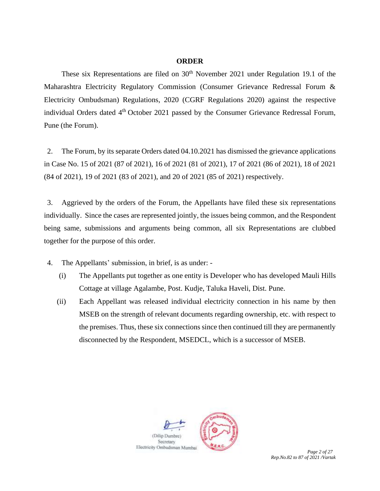#### **ORDER**

These six Representations are filed on  $30<sup>th</sup>$  November 2021 under Regulation 19.1 of the Maharashtra Electricity Regulatory Commission (Consumer Grievance Redressal Forum & Electricity Ombudsman) Regulations, 2020 (CGRF Regulations 2020) against the respective individual Orders dated 4<sup>th</sup> October 2021 passed by the Consumer Grievance Redressal Forum, Pune (the Forum).

2. The Forum, by its separate Orders dated 04.10.2021 has dismissed the grievance applications in Case No. 15 of 2021 (87 of 2021), 16 of 2021 (81 of 2021), 17 of 2021 (86 of 2021), 18 of 2021 (84 of 2021), 19 of 2021 (83 of 2021), and 20 of 2021 (85 of 2021) respectively.

3. Aggrieved by the orders of the Forum, the Appellants have filed these six representations individually. Since the cases are represented jointly, the issues being common, and the Respondent being same, submissions and arguments being common, all six Representations are clubbed together for the purpose of this order.

4. The Appellants' submission, in brief, is as under: -

- (i) The Appellants put together as one entity is Developer who has developed Mauli Hills Cottage at village Agalambe, Post. Kudje, Taluka Haveli, Dist. Pune.
- (ii) Each Appellant was released individual electricity connection in his name by then MSEB on the strength of relevant documents regarding ownership, etc. with respect to the premises. Thus, these six connections since then continued till they are permanently disconnected by the Respondent, MSEDCL, which is a successor of MSEB.

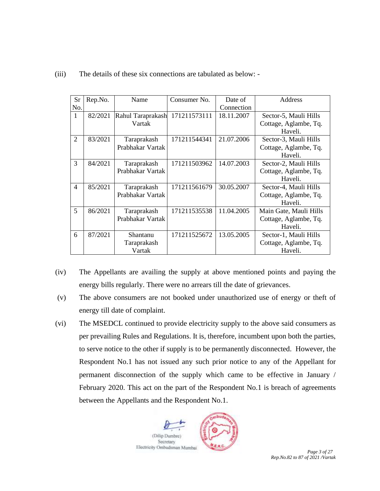| <b>Sr</b>      | Rep.No. | Name              | Consumer No. | Date of    | Address                |
|----------------|---------|-------------------|--------------|------------|------------------------|
| No.            |         |                   |              | Connection |                        |
| $\mathbf{1}$   | 82/2021 | Rahul Taraprakash | 171211573111 | 18.11.2007 | Sector-5, Mauli Hills  |
|                |         | Vartak            |              |            | Cottage, Aglambe, Tq.  |
|                |         |                   |              |            | Haveli.                |
| $\overline{2}$ | 83/2021 | Taraprakash       | 171211544341 | 21.07.2006 | Sector-3, Mauli Hills  |
|                |         | Prabhakar Vartak  |              |            | Cottage, Aglambe, Tq.  |
|                |         |                   |              |            | Haveli.                |
| 3              | 84/2021 | Taraprakash       | 171211503962 | 14.07.2003 | Sector-2, Mauli Hills  |
|                |         | Prabhakar Vartak  |              |            | Cottage, Aglambe, Tq.  |
|                |         |                   |              |            | Haveli.                |
| $\overline{4}$ | 85/2021 | Taraprakash       | 171211561679 | 30.05.2007 | Sector-4, Mauli Hills  |
|                |         | Prabhakar Vartak  |              |            | Cottage, Aglambe, Tq.  |
|                |         |                   |              |            | Haveli.                |
| 5              | 86/2021 | Taraprakash       | 171211535538 | 11.04.2005 | Main Gate, Mauli Hills |
|                |         | Prabhakar Vartak  |              |            | Cottage, Aglambe, Tq.  |
|                |         |                   |              |            | Haveli.                |
| 6              | 87/2021 | Shantanu          | 171211525672 | 13.05.2005 | Sector-1, Mauli Hills  |
|                |         | Taraprakash       |              |            | Cottage, Aglambe, Tq.  |
|                |         | Vartak            |              |            | Haveli.                |

#### (iii) The details of these six connections are tabulated as below: -

(iv) The Appellants are availing the supply at above mentioned points and paying the energy bills regularly. There were no arrears till the date of grievances.

- (v) The above consumers are not booked under unauthorized use of energy or theft of energy till date of complaint.
- (vi) The MSEDCL continued to provide electricity supply to the above said consumers as per prevailing Rules and Regulations. It is, therefore, incumbent upon both the parties, to serve notice to the other if supply is to be permanently disconnected. However, the Respondent No.1 has not issued any such prior notice to any of the Appellant for permanent disconnection of the supply which came to be effective in January / February 2020. This act on the part of the Respondent No.1 is breach of agreements between the Appellants and the Respondent No.1.

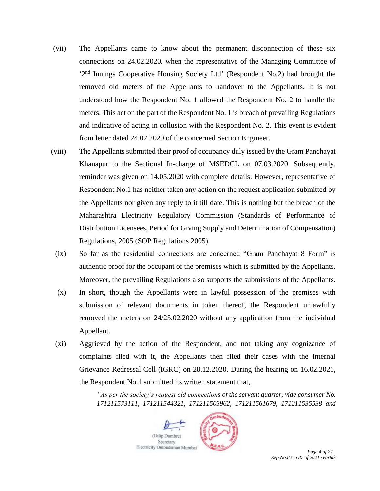- (vii) The Appellants came to know about the permanent disconnection of these six connections on 24.02.2020, when the representative of the Managing Committee of '2<sup>nd</sup> Innings Cooperative Housing Society Ltd' (Respondent No.2) had brought the removed old meters of the Appellants to handover to the Appellants. It is not understood how the Respondent No. 1 allowed the Respondent No. 2 to handle the meters. This act on the part of the Respondent No. 1 is breach of prevailing Regulations and indicative of acting in collusion with the Respondent No. 2. This event is evident from letter dated 24.02.2020 of the concerned Section Engineer.
- (viii) The Appellants submitted their proof of occupancy duly issued by the Gram Panchayat Khanapur to the Sectional In-charge of MSEDCL on 07.03.2020. Subsequently, reminder was given on 14.05.2020 with complete details. However, representative of Respondent No.1 has neither taken any action on the request application submitted by the Appellants nor given any reply to it till date. This is nothing but the breach of the Maharashtra Electricity Regulatory Commission (Standards of Performance of Distribution Licensees, Period for Giving Supply and Determination of Compensation) Regulations, 2005 (SOP Regulations 2005).
	- (ix) So far as the residential connections are concerned "Gram Panchayat 8 Form" is authentic proof for the occupant of the premises which is submitted by the Appellants. Moreover, the prevailing Regulations also supports the submissions of the Appellants.
	- (x) In short, though the Appellants were in lawful possession of the premises with submission of relevant documents in token thereof, the Respondent unlawfully removed the meters on 24/25.02.2020 without any application from the individual Appellant.
	- (xi) Aggrieved by the action of the Respondent, and not taking any cognizance of complaints filed with it, the Appellants then filed their cases with the Internal Grievance Redressal Cell (IGRC) on 28.12.2020. During the hearing on 16.02.2021, the Respondent No.1 submitted its written statement that,

*"As per the society's request old connections of the servant quarter, vide consumer No. 171211573111, 171211544321, 171211503962, 171211561679, 171211535538 and*

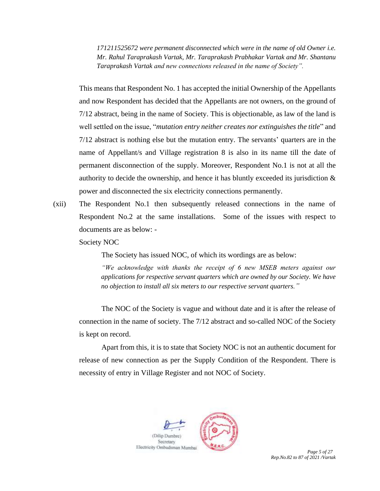*171211525672 were permanent disconnected which were in the name of old Owner i.e. Mr. Rahul Taraprakash Vartak, Mr. Taraprakash Prabhakar Vartak and Mr. Shantanu Taraprakash Vartak and new connections released in the name of Society".* 

This means that Respondent No. 1 has accepted the initial Ownership of the Appellants and now Respondent has decided that the Appellants are not owners, on the ground of 7/12 abstract, being in the name of Society. This is objectionable, as law of the land is well settled on the issue, "*mutation entry neither creates nor extinguishes the title*" and 7/12 abstract is nothing else but the mutation entry. The servants' quarters are in the name of Appellant/s and Village registration 8 is also in its name till the date of permanent disconnection of the supply. Moreover, Respondent No.1 is not at all the authority to decide the ownership, and hence it has bluntly exceeded its jurisdiction  $\&$ power and disconnected the six electricity connections permanently.

(xii) The Respondent No.1 then subsequently released connections in the name of Respondent No.2 at the same installations. Some of the issues with respect to documents are as below: -

Society NOC

The Society has issued NOC, of which its wordings are as below:

*"We acknowledge with thanks the receipt of 6 new MSEB meters against our applications for respective servant quarters which are owned by our Society. We have no objection to install all six meters to our respective servant quarters."*

The NOC of the Society is vague and without date and it is after the release of connection in the name of society. The 7/12 abstract and so-called NOC of the Society is kept on record.

Apart from this, it is to state that Society NOC is not an authentic document for release of new connection as per the Supply Condition of the Respondent. There is necessity of entry in Village Register and not NOC of Society.



*Rep.No.82 to 87 of 2021 /Vartak*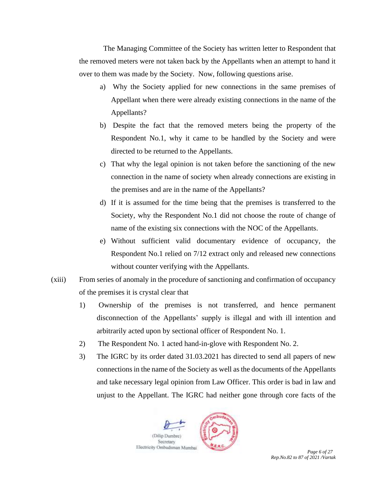The Managing Committee of the Society has written letter to Respondent that the removed meters were not taken back by the Appellants when an attempt to hand it over to them was made by the Society. Now, following questions arise.

- a) Why the Society applied for new connections in the same premises of Appellant when there were already existing connections in the name of the Appellants?
- b) Despite the fact that the removed meters being the property of the Respondent No.1, why it came to be handled by the Society and were directed to be returned to the Appellants.
- c) That why the legal opinion is not taken before the sanctioning of the new connection in the name of society when already connections are existing in the premises and are in the name of the Appellants?
- d) If it is assumed for the time being that the premises is transferred to the Society, why the Respondent No.1 did not choose the route of change of name of the existing six connections with the NOC of the Appellants.
- e) Without sufficient valid documentary evidence of occupancy, the Respondent No.1 relied on 7/12 extract only and released new connections without counter verifying with the Appellants.
- (xiii) From series of anomaly in the procedure of sanctioning and confirmation of occupancy of the premises it is crystal clear that
	- 1) Ownership of the premises is not transferred, and hence permanent disconnection of the Appellants' supply is illegal and with ill intention and arbitrarily acted upon by sectional officer of Respondent No. 1.
	- 2) The Respondent No. 1 acted hand-in-glove with Respondent No. 2.
	- 3) The IGRC by its order dated 31.03.2021 has directed to send all papers of new connections in the name of the Society as well as the documents of the Appellants and take necessary legal opinion from Law Officer. This order is bad in law and unjust to the Appellant. The IGRC had neither gone through core facts of the



*Rep.No.82 to 87 of 2021 /Vartak*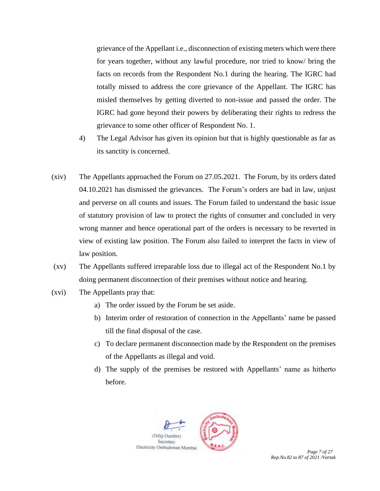grievance of the Appellant i.e., disconnection of existing meters which were there for years together, without any lawful procedure, nor tried to know/ bring the facts on records from the Respondent No.1 during the hearing. The IGRC had totally missed to address the core grievance of the Appellant. The IGRC has misled themselves by getting diverted to non-issue and passed the order. The IGRC had gone beyond their powers by deliberating their rights to redress the grievance to some other officer of Respondent No. 1.

- 4) The Legal Advisor has given its opinion but that is highly questionable as far as its sanctity is concerned.
- (xiv) The Appellants approached the Forum on 27.05.2021. The Forum, by its orders dated 04.10.2021 has dismissed the grievances. The Forum's orders are bad in law, unjust and perverse on all counts and issues. The Forum failed to understand the basic issue of statutory provision of law to protect the rights of consumer and concluded in very wrong manner and hence operational part of the orders is necessary to be reverted in view of existing law position. The Forum also failed to interpret the facts in view of law position.
- (xv) The Appellants suffered irreparable loss due to illegal act of the Respondent No.1 by doing permanent disconnection of their premises without notice and hearing.
- (xvi) The Appellants pray that:
	- a) The order issued by the Forum be set aside.
	- b) Interim order of restoration of connection in the Appellants' name be passed till the final disposal of the case.
	- c) To declare permanent disconnection made by the Respondent on the premises of the Appellants as illegal and void.
	- d) The supply of the premises be restored with Appellants' name as hitherto before.



*Rep.No.82 to 87 of 2021 /Vartak*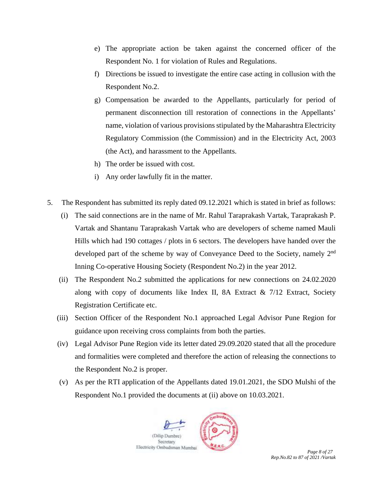- e) The appropriate action be taken against the concerned officer of the Respondent No. 1 for violation of Rules and Regulations.
- f) Directions be issued to investigate the entire case acting in collusion with the Respondent No.2.
- g) Compensation be awarded to the Appellants, particularly for period of permanent disconnection till restoration of connections in the Appellants' name, violation of various provisions stipulated by the Maharashtra Electricity Regulatory Commission (the Commission) and in the Electricity Act, 2003 (the Act), and harassment to the Appellants.
- h) The order be issued with cost.
- i) Any order lawfully fit in the matter.
- 5. The Respondent has submitted its reply dated 09.12.2021 which is stated in brief as follows:
	- (i) The said connections are in the name of Mr. Rahul Taraprakash Vartak, Taraprakash P. Vartak and Shantanu Taraprakash Vartak who are developers of scheme named Mauli Hills which had 190 cottages / plots in 6 sectors. The developers have handed over the developed part of the scheme by way of Conveyance Deed to the Society, namely 2<sup>nd</sup> Inning Co-operative Housing Society (Respondent No.2) in the year 2012.
	- (ii) The Respondent No.2 submitted the applications for new connections on 24.02.2020 along with copy of documents like Index II, 8A Extract  $\&$  7/12 Extract, Society Registration Certificate etc.
	- (iii) Section Officer of the Respondent No.1 approached Legal Advisor Pune Region for guidance upon receiving cross complaints from both the parties.
	- (iv) Legal Advisor Pune Region vide its letter dated 29.09.2020 stated that all the procedure and formalities were completed and therefore the action of releasing the connections to the Respondent No.2 is proper.
	- (v) As per the RTI application of the Appellants dated 19.01.2021, the SDO Mulshi of the Respondent No.1 provided the documents at (ii) above on 10.03.2021.

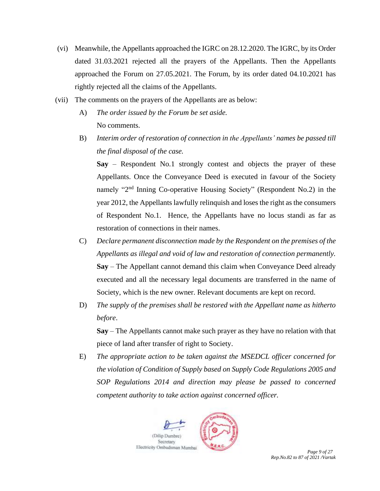- (vi) Meanwhile, the Appellants approached the IGRC on 28.12.2020. The IGRC, by its Order dated 31.03.2021 rejected all the prayers of the Appellants. Then the Appellants approached the Forum on 27.05.2021. The Forum, by its order dated 04.10.2021 has rightly rejected all the claims of the Appellants.
- (vii) The comments on the prayers of the Appellants are as below:
	- A) *The order issued by the Forum be set aside.*  No comments.
	- B) *Interim order of restoration of connection in the Appellants' names be passed till the final disposal of the case.*

**Say** – Respondent No.1 strongly contest and objects the prayer of these Appellants. Once the Conveyance Deed is executed in favour of the Society namely "2<sup>nd</sup> Inning Co-operative Housing Society" (Respondent No.2) in the year 2012, the Appellants lawfully relinquish and loses the right as the consumers of Respondent No.1. Hence, the Appellants have no locus standi as far as restoration of connections in their names.

- C) *Declare permanent disconnection made by the Respondent on the premises of the Appellants as illegal and void of law and restoration of connection permanently.*  **Say** – The Appellant cannot demand this claim when Conveyance Deed already executed and all the necessary legal documents are transferred in the name of Society, which is the new owner. Relevant documents are kept on record.
- D) *The supply of the premises shall be restored with the Appellant name as hitherto before*.

**Say** – The Appellants cannot make such prayer as they have no relation with that piece of land after transfer of right to Society.

E) *The appropriate action to be taken against the MSEDCL officer concerned for the violation of Condition of Supply based on Supply Code Regulations 2005 and SOP Regulations 2014 and direction may please be passed to concerned competent authority to take action against concerned officer.* 



*Rep.No.82 to 87 of 2021 /Vartak*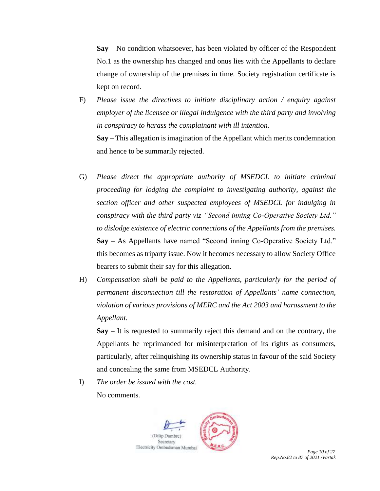**Say** – No condition whatsoever, has been violated by officer of the Respondent No.1 as the ownership has changed and onus lies with the Appellants to declare change of ownership of the premises in time. Society registration certificate is kept on record.

- F) *Please issue the directives to initiate disciplinary action / enquiry against employer of the licensee or illegal indulgence with the third party and involving in conspiracy to harass the complainant with ill intention.*  **Say** – This allegation is imagination of the Appellant which merits condemnation and hence to be summarily rejected.
- G) *Please direct the appropriate authority of MSEDCL to initiate criminal proceeding for lodging the complaint to investigating authority, against the section officer and other suspected employees of MSEDCL for indulging in conspiracy with the third party viz "Second inning Co-Operative Society Ltd." to dislodge existence of electric connections of the Appellants from the premises.*  **Say** – As Appellants have named "Second inning Co-Operative Society Ltd." this becomes as triparty issue. Now it becomes necessary to allow Society Office bearers to submit their say for this allegation.
- H) *Compensation shall be paid to the Appellants, particularly for the period of permanent disconnection till the restoration of Appellants' name connection, violation of various provisions of MERC and the Act 2003 and harassment to the Appellant.*

**Say** – It is requested to summarily reject this demand and on the contrary, the Appellants be reprimanded for misinterpretation of its rights as consumers, particularly, after relinquishing its ownership status in favour of the said Society and concealing the same from MSEDCL Authority.

I) *The order be issued with the cost.*

No comments.



*Rep.No.82 to 87 of 2021 /Vartak*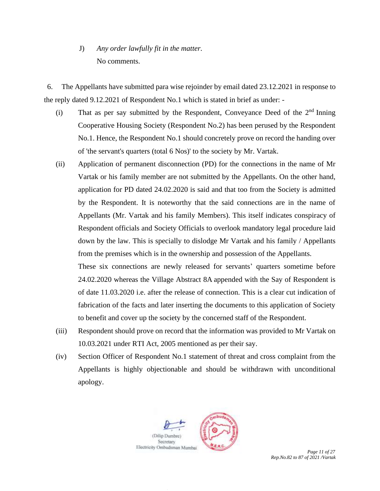# J) *Any order lawfully fit in the matter.*  No comments.

6. The Appellants have submitted para wise rejoinder by email dated 23.12.2021 in response to the reply dated 9.12.2021 of Respondent No.1 which is stated in brief as under: -

- (i) That as per say submitted by the Respondent, Conveyance Deed of the  $2<sup>nd</sup> Inning$ Cooperative Housing Society (Respondent No.2) has been perused by the Respondent No.1. Hence, the Respondent No.1 should concretely prove on record the handing over of 'the servant's quarters (total 6 Nos)' to the society by Mr. Vartak.
- (ii) Application of permanent disconnection (PD) for the connections in the name of Mr Vartak or his family member are not submitted by the Appellants. On the other hand, application for PD dated 24.02.2020 is said and that too from the Society is admitted by the Respondent. It is noteworthy that the said connections are in the name of Appellants (Mr. Vartak and his family Members). This itself indicates conspiracy of Respondent officials and Society Officials to overlook mandatory legal procedure laid down by the law. This is specially to dislodge Mr Vartak and his family / Appellants from the premises which is in the ownership and possession of the Appellants.

These six connections are newly released for servants' quarters sometime before 24.02.2020 whereas the Village Abstract 8A appended with the Say of Respondent is of date 11.03.2020 i.e. after the release of connection. This is a clear cut indication of fabrication of the facts and later inserting the documents to this application of Society to benefit and cover up the society by the concerned staff of the Respondent.

- (iii) Respondent should prove on record that the information was provided to Mr Vartak on 10.03.2021 under RTI Act, 2005 mentioned as per their say.
- (iv) Section Officer of Respondent No.1 statement of threat and cross complaint from the Appellants is highly objectionable and should be withdrawn with unconditional apology.

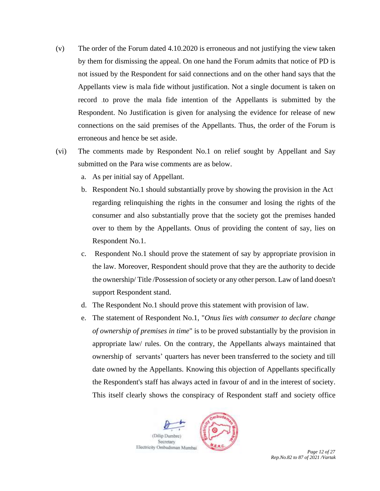- (v) The order of the Forum dated 4.10.2020 is erroneous and not justifying the view taken by them for dismissing the appeal. On one hand the Forum admits that notice of PD is not issued by the Respondent for said connections and on the other hand says that the Appellants view is mala fide without justification. Not a single document is taken on record to prove the mala fide intention of the Appellants is submitted by the Respondent. No Justification is given for analysing the evidence for release of new connections on the said premises of the Appellants. Thus, the order of the Forum is erroneous and hence be set aside.
- (vi) The comments made by Respondent No.1 on relief sought by Appellant and Say submitted on the Para wise comments are as below.
	- a. As per initial say of Appellant.
	- b. Respondent No.1 should substantially prove by showing the provision in the Act regarding relinquishing the rights in the consumer and losing the rights of the consumer and also substantially prove that the society got the premises handed over to them by the Appellants. Onus of providing the content of say, lies on Respondent No.1.
	- c. Respondent No.1 should prove the statement of say by appropriate provision in the law. Moreover, Respondent should prove that they are the authority to decide the ownership/ Title /Possession of society or any other person. Law of land doesn't support Respondent stand.
	- d. The Respondent No.1 should prove this statement with provision of law.
	- e. The statement of Respondent No.1, "*Onus lies with consumer to declare change of ownership of premises in time*" is to be proved substantially by the provision in appropriate law/ rules. On the contrary, the Appellants always maintained that ownership of servants' quarters has never been transferred to the society and till date owned by the Appellants. Knowing this objection of Appellants specifically the Respondent's staff has always acted in favour of and in the interest of society. This itself clearly shows the conspiracy of Respondent staff and society office



*Rep.No.82 to 87 of 2021 /Vartak*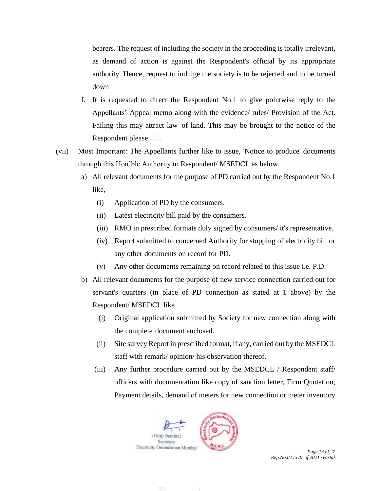bearers. The request of including the society in the proceeding is totally irrelevant, as demand of action is against the Respondent's official by its appropriate authority. Hence, request to indulge the society is to be rejected and to be turned down

- f. It is requested to direct the Respondent No.1 to give pointwise reply to the Appellants' Appeal memo along with the evidence/ rules/ Provision of the Act. Failing this may attract law of land. This may be brought to the notice of the Respondent please.
- (vii) Most Important: The Appellants further like to issue, 'Notice to produce' documents through this Hon'ble Authority to Respondent/ MSEDCL as below.
	- a) All relevant documents for the purpose of PD carried out by the Respondent No.1 like,
		- (i) Application of PD by the consumers.
		- (ii) Latest electricity bill paid by the consumers.
		- (iii) RMO in prescribed formats duly signed by consumers/ it's representative.
		- (iv) Report submitted to concerned Authority for stopping of electricity bill or any other documents on record for PD.
		- (v) Any other documents remaining on record related to this issue i.e. P.D.
	- b) All relevant documents for the purpose of new service connection carried out for servant's quarters (in place of PD connection as stated at 1 above) by the Respondent/ MSEDCL like
		- (i) Original application submitted by Society for new connection along with the complete document enclosed.
		- (ii) Site survey Report in prescribed format, if any, carried out by the MSEDCL staff with remark/ opinion/ his observation thereof.
		- (iii) Any further procedure carried out by the MSEDCL / Respondent staff/ officers with documentation like copy of sanction letter, Firm Quotation, Payment details, demand of meters for new connection or meter inventory



*Rep.No.82 to 87 of 2021 /Vartak*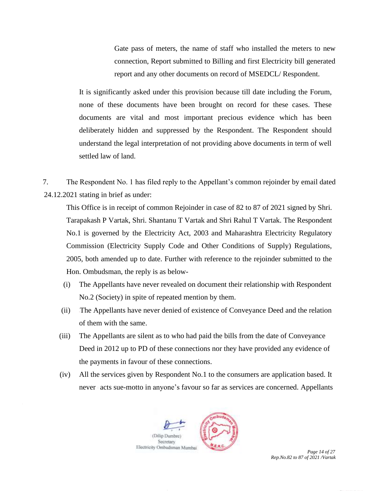Gate pass of meters, the name of staff who installed the meters to new connection, Report submitted to Billing and first Electricity bill generated report and any other documents on record of MSEDCL/ Respondent.

It is significantly asked under this provision because till date including the Forum, none of these documents have been brought on record for these cases. These documents are vital and most important precious evidence which has been deliberately hidden and suppressed by the Respondent. The Respondent should understand the legal interpretation of not providing above documents in term of well settled law of land.

7. The Respondent No. 1 has filed reply to the Appellant's common rejoinder by email dated 24.12.2021 stating in brief as under:

This Office is in receipt of common Rejoinder in case of 82 to 87 of 2021 signed by Shri. Tarapakash P Vartak, Shri. Shantanu T Vartak and Shri Rahul T Vartak. The Respondent No.1 is governed by the Electricity Act, 2003 and Maharashtra Electricity Regulatory Commission (Electricity Supply Code and Other Conditions of Supply) Regulations, 2005, both amended up to date. Further with reference to the rejoinder submitted to the Hon. Ombudsman, the reply is as below-

- (i) The Appellants have never revealed on document their relationship with Respondent No.2 (Society) in spite of repeated mention by them.
- (ii) The Appellants have never denied of existence of Conveyance Deed and the relation of them with the same.
- (iii) The Appellants are silent as to who had paid the bills from the date of Conveyance Deed in 2012 up to PD of these connections nor they have provided any evidence of the payments in favour of these connections.
- (iv) All the services given by Respondent No.1 to the consumers are application based. It never acts sue-motto in anyone's favour so far as services are concerned. Appellants



*Rep.No.82 to 87 of 2021 /Vartak*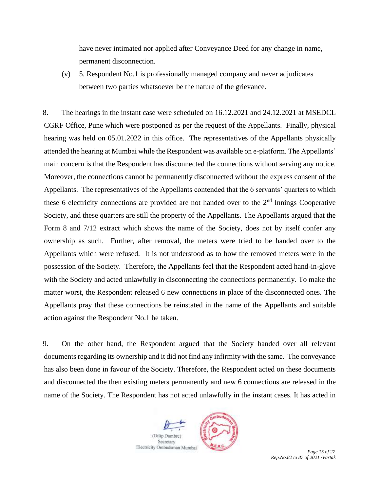have never intimated nor applied after Conveyance Deed for any change in name, permanent disconnection.

(v) 5. Respondent No.1 is professionally managed company and never adjudicates between two parties whatsoever be the nature of the grievance.

8. The hearings in the instant case were scheduled on 16.12.2021 and 24.12.2021 at MSEDCL CGRF Office, Pune which were postponed as per the request of the Appellants. Finally, physical hearing was held on 05.01.2022 in this office. The representatives of the Appellants physically attended the hearing at Mumbai while the Respondent was available on e-platform. The Appellants' main concern is that the Respondent has disconnected the connections without serving any notice. Moreover, the connections cannot be permanently disconnected without the express consent of the Appellants. The representatives of the Appellants contended that the 6 servants' quarters to which these 6 electricity connections are provided are not handed over to the  $2<sup>nd</sup>$  Innings Cooperative Society, and these quarters are still the property of the Appellants. The Appellants argued that the Form 8 and 7/12 extract which shows the name of the Society, does not by itself confer any ownership as such. Further, after removal, the meters were tried to be handed over to the Appellants which were refused. It is not understood as to how the removed meters were in the possession of the Society. Therefore, the Appellants feel that the Respondent acted hand-in-glove with the Society and acted unlawfully in disconnecting the connections permanently. To make the matter worst, the Respondent released 6 new connections in place of the disconnected ones. The Appellants pray that these connections be reinstated in the name of the Appellants and suitable action against the Respondent No.1 be taken.

9. On the other hand, the Respondent argued that the Society handed over all relevant documents regarding its ownership and it did not find any infirmity with the same. The conveyance has also been done in favour of the Society. Therefore, the Respondent acted on these documents and disconnected the then existing meters permanently and new 6 connections are released in the name of the Society. The Respondent has not acted unlawfully in the instant cases. It has acted in



*Rep.No.82 to 87 of 2021 /Vartak*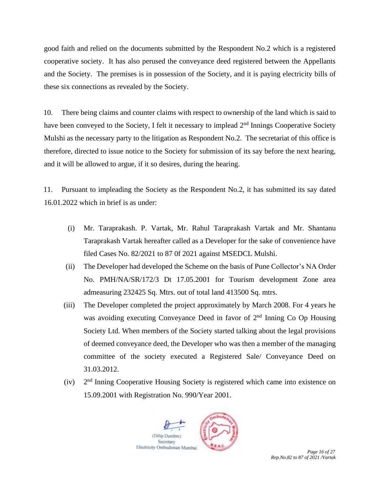good faith and relied on the documents submitted by the Respondent No.2 which is a registered cooperative society. It has also perused the conveyance deed registered between the Appellants and the Society. The premises is in possession of the Society, and it is paying electricity bills of these six connections as revealed by the Society.

10. There being claims and counter claims with respect to ownership of the land which is said to have been conveyed to the Society, I felt it necessary to implead  $2<sup>nd</sup>$  Innings Cooperative Society Mulshi as the necessary party to the litigation as Respondent No.2. The secretariat of this office is therefore, directed to issue notice to the Society for submission of its say before the next hearing, and it will be allowed to argue, if it so desires, during the hearing.

11. Pursuant to impleading the Society as the Respondent No.2, it has submitted its say dated 16.01.2022 which in brief is as under:

- (i) Mr. Taraprakash. P. Vartak, Mr. Rahul Taraprakash Vartak and Mr. Shantanu Taraprakash Vartak hereafter called as a Developer for the sake of convenience have filed Cases No. 82/2021 to 87 0f 2021 against MSEDCL Mulshi.
- (ii) The Developer had developed the Scheme on the basis of Pune Collector's NA Order No. PMH/NA/SR/172/3 Dt 17.05.2001 for Tourism development Zone area admeasuring 232425 Sq. Mtrs. out of total land 413500 Sq. mtrs.
- (iii) The Developer completed the project approximately by March 2008. For 4 years he was avoiding executing Conveyance Deed in favor of 2<sup>nd</sup> Inning Co Op Housing Society Ltd. When members of the Society started talking about the legal provisions of deemed conveyance deed, the Developer who was then a member of the managing committee of the society executed a Registered Sale/ Conveyance Deed on 31.03.2012.
- $(iv)$  $2<sup>nd</sup>$  Inning Cooperative Housing Society is registered which came into existence on 15.09.2001 with Registration No. 990/Year 2001.



*Rep.No.82 to 87 of 2021 /Vartak*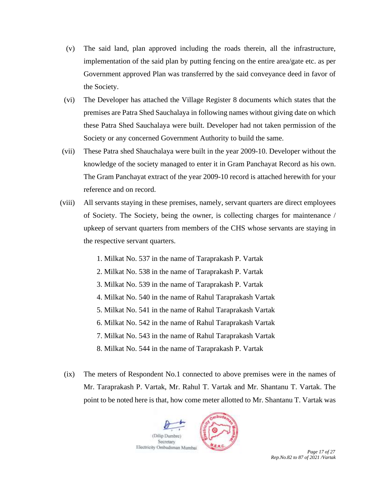- (v) The said land, plan approved including the roads therein, all the infrastructure, implementation of the said plan by putting fencing on the entire area/gate etc. as per Government approved Plan was transferred by the said conveyance deed in favor of the Society.
- (vi) The Developer has attached the Village Register 8 documents which states that the premises are Patra Shed Sauchalaya in following names without giving date on which these Patra Shed Sauchalaya were built. Developer had not taken permission of the Society or any concerned Government Authority to build the same.
- (vii) These Patra shed Shauchalaya were built in the year 2009-10. Developer without the knowledge of the society managed to enter it in Gram Panchayat Record as his own. The Gram Panchayat extract of the year 2009-10 record is attached herewith for your reference and on record.
- (viii) All servants staying in these premises, namely, servant quarters are direct employees of Society. The Society, being the owner, is collecting charges for maintenance / upkeep of servant quarters from members of the CHS whose servants are staying in the respective servant quarters.
	- 1. Milkat No. 537 in the name of Taraprakash P. Vartak
	- 2. Milkat No. 538 in the name of Taraprakash P. Vartak
	- 3. Milkat No. 539 in the name of Taraprakash P. Vartak
	- 4. Milkat No. 540 in the name of Rahul Taraprakash Vartak
	- 5. Milkat No. 541 in the name of Rahul Taraprakash Vartak
	- 6. Milkat No. 542 in the name of Rahul Taraprakash Vartak
	- 7. Milkat No. 543 in the name of Rahul Taraprakash Vartak
	- 8. Milkat No. 544 in the name of Taraprakash P. Vartak
	- (ix) The meters of Respondent No.1 connected to above premises were in the names of Mr. Taraprakash P. Vartak, Mr. Rahul T. Vartak and Mr. Shantanu T. Vartak. The point to be noted here is that, how come meter allotted to Mr. Shantanu T. Vartak was



*Rep.No.82 to 87 of 2021 /Vartak*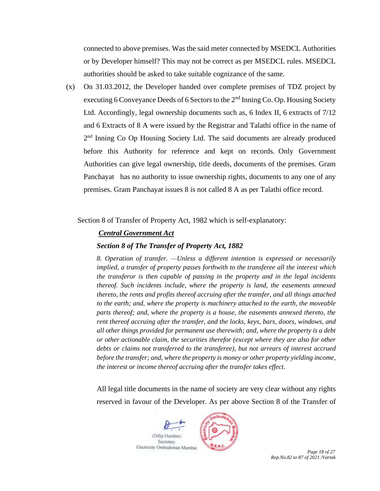connected to above premises. Was the said meter connected by MSEDCL Authorities or by Developer himself? This may not be correct as per MSEDCL rules. MSEDCL authorities should be asked to take suitable cognizance of the same.

(x) On 31.03.2012, the Developer handed over complete premises of TDZ project by executing 6 Conveyance Deeds of 6 Sectors to the  $2<sup>nd</sup>$  Inning Co. Op. Housing Society Ltd. Accordingly, legal ownership documents such as, 6 Index II, 6 extracts of 7/12 and 6 Extracts of 8 A were issued by the Registrar and Talathi office in the name of 2<sup>nd</sup> Inning Co Op Housing Society Ltd. The said documents are already produced before this Authority for reference and kept on records. Only Government Authorities can give legal ownership, title deeds, documents of the premises. Gram Panchayat has no authority to issue ownership rights, documents to any one of any premises. Gram Panchayat issues 8 is not called 8 A as per Talathi office record.

Section 8 of Transfer of Property Act, 1982 which is self-explanatory:

## *Central Government Act*

### *Section 8 of The Transfer of Property Act, 1882*

*8. Operation of transfer. —Unless a different intention is expressed or necessarily implied, a transfer of property passes forthwith to the transferee all the interest which the transferor is then capable of passing in the property and in the legal incidents thereof. Such incidents include, where the property is land, the easements annexed thereto, the rents and profits thereof accruing after the transfer, and all things attached to the earth; and, where the property is machinery attached to the earth, the moveable parts thereof; and, where the property is a house, the easements annexed thereto, the rent thereof accruing after the transfer, and the locks, keys, bars, doors, windows, and all other things provided for permanent use therewith; and, where the property is a debt or other actionable claim, the securities therefor (except where they are also for other debts or claims not transferred to the transferee), but not arrears of interest accrued before the transfer; and, where the property is money or other property yielding income, the interest or income thereof accruing after the transfer takes effect.*

All legal title documents in the name of society are very clear without any rights reserved in favour of the Developer. As per above Section 8 of the Transfer of



*Rep.No.82 to 87 of 2021 /Vartak*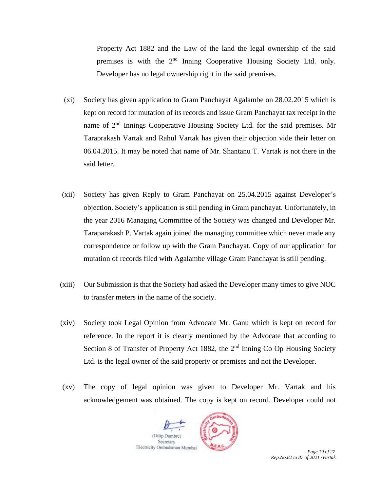Property Act 1882 and the Law of the land the legal ownership of the said premises is with the 2<sup>nd</sup> Inning Cooperative Housing Society Ltd. only. Developer has no legal ownership right in the said premises.

- (xi) Society has given application to Gram Panchayat Agalambe on 28.02.2015 which is kept on record for mutation of its records and issue Gram Panchayat tax receipt in the name of 2<sup>nd</sup> Innings Cooperative Housing Society Ltd. for the said premises. Mr Taraprakash Vartak and Rahul Vartak has given their objection vide their letter on 06.04.2015. It may be noted that name of Mr. Shantanu T. Vartak is not there in the said letter.
- (xii) Society has given Reply to Gram Panchayat on 25.04.2015 against Developer's objection. Society's application is still pending in Gram panchayat. Unfortunately, in the year 2016 Managing Committee of the Society was changed and Developer Mr. Taraparakash P. Vartak again joined the managing committee which never made any correspondence or follow up with the Gram Panchayat. Copy of our application for mutation of records filed with Agalambe village Gram Panchayat is still pending.
- (xiii) Our Submission is that the Society had asked the Developer many times to give NOC to transfer meters in the name of the society.
- (xiv) Society took Legal Opinion from Advocate Mr. Ganu which is kept on record for reference. In the report it is clearly mentioned by the Advocate that according to Section 8 of Transfer of Property Act 1882, the 2<sup>nd</sup> Inning Co Op Housing Society Ltd. is the legal owner of the said property or premises and not the Developer.
- (xv) The copy of legal opinion was given to Developer Mr. Vartak and his acknowledgement was obtained. The copy is kept on record. Developer could not

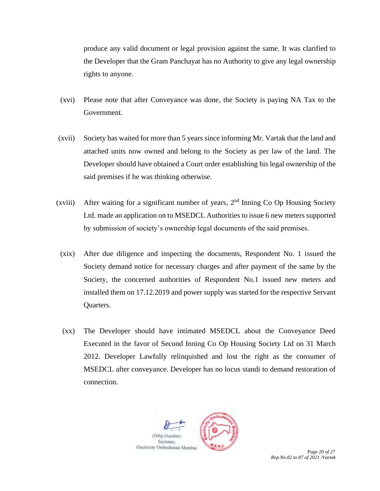produce any valid document or legal provision against the same. It was clarified to the Developer that the Gram Panchayat has no Authority to give any legal ownership rights to anyone.

- (xvi) Please note that after Conveyance was done, the Society is paying NA Tax to the Government.
- (xvii) Society has waited for more than 5 years since informing Mr. Vartak that the land and attached units now owned and belong to the Society as per law of the land. The Developer should have obtained a Court order establishing his legal ownership of the said premises if he was thinking otherwise.
- (xviii) After waiting for a significant number of years,  $2<sup>nd</sup>$  Inning Co Op Housing Society Ltd. made an application on to MSEDCL Authorities to issue 6 new meters supported by submission of society's ownership legal documents of the said premises.
- (xix) After due diligence and inspecting the documents, Respondent No. 1 issued the Society demand notice for necessary charges and after payment of the same by the Society, the concerned authorities of Respondent No.1 issued new meters and installed them on 17.12.2019 and power supply was started for the respective Servant Quarters.
- (xx) The Developer should have intimated MSEDCL about the Conveyance Deed Executed in the favor of Second Inning Co Op Housing Society Ltd on 31 March 2012. Developer Lawfully relinquished and lost the right as the consumer of MSEDCL after conveyance. Developer has no locus standi to demand restoration of connection.



*Rep.No.82 to 87 of 2021 /Vartak*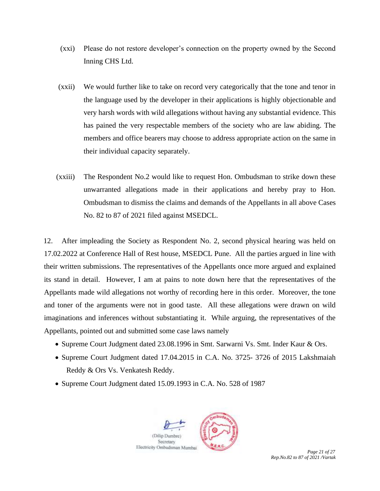- (xxi) Please do not restore developer's connection on the property owned by the Second Inning CHS Ltd.
- (xxii) We would further like to take on record very categorically that the tone and tenor in the language used by the developer in their applications is highly objectionable and very harsh words with wild allegations without having any substantial evidence. This has pained the very respectable members of the society who are law abiding. The members and office bearers may choose to address appropriate action on the same in their individual capacity separately.
- (xxiii) The Respondent No.2 would like to request Hon. Ombudsman to strike down these unwarranted allegations made in their applications and hereby pray to Hon. Ombudsman to dismiss the claims and demands of the Appellants in all above Cases No. 82 to 87 of 2021 filed against MSEDCL.

12. After impleading the Society as Respondent No. 2, second physical hearing was held on 17.02.2022 at Conference Hall of Rest house, MSEDCL Pune. All the parties argued in line with their written submissions. The representatives of the Appellants once more argued and explained its stand in detail. However, I am at pains to note down here that the representatives of the Appellants made wild allegations not worthy of recording here in this order. Moreover, the tone and toner of the arguments were not in good taste. All these allegations were drawn on wild imaginations and inferences without substantiating it. While arguing, the representatives of the Appellants, pointed out and submitted some case laws namely

- Supreme Court Judgment dated 23.08.1996 in Smt. Sarwarni Vs. Smt. Inder Kaur & Ors.
- Supreme Court Judgment dated 17.04.2015 in C.A. No. 3725- 3726 of 2015 Lakshmaiah Reddy & Ors Vs. Venkatesh Reddy.
- Supreme Court Judgment dated 15.09.1993 in C.A. No. 528 of 1987

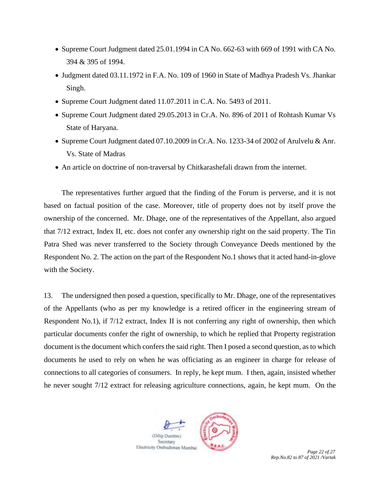- Supreme Court Judgment dated 25.01.1994 in CA No. 662-63 with 669 of 1991 with CA No. 394 & 395 of 1994.
- Judgment dated 03.11.1972 in F.A. No. 109 of 1960 in State of Madhya Pradesh Vs. Jhankar Singh.
- Supreme Court Judgment dated 11.07.2011 in C.A. No. 5493 of 2011.
- Supreme Court Judgment dated 29.05.2013 in Cr.A. No. 896 of 2011 of Rohtash Kumar Vs State of Haryana.
- Supreme Court Judgment dated 07.10.2009 in Cr.A. No. 1233-34 of 2002 of Arulvelu & Anr. Vs. State of Madras
- An article on doctrine of non-traversal by Chitkarashefali drawn from the internet.

The representatives further argued that the finding of the Forum is perverse, and it is not based on factual position of the case. Moreover, title of property does not by itself prove the ownership of the concerned. Mr. Dhage, one of the representatives of the Appellant, also argued that 7/12 extract, Index II, etc. does not confer any ownership right on the said property. The Tin Patra Shed was never transferred to the Society through Conveyance Deeds mentioned by the Respondent No. 2. The action on the part of the Respondent No.1 shows that it acted hand-in-glove with the Society.

13. The undersigned then posed a question, specifically to Mr. Dhage, one of the representatives of the Appellants (who as per my knowledge is a retired officer in the engineering stream of Respondent No.1), if 7/12 extract, Index II is not conferring any right of ownership, then which particular documents confer the right of ownership, to which he replied that Property registration document is the document which confers the said right. Then I posed a second question, as to which documents he used to rely on when he was officiating as an engineer in charge for release of connections to all categories of consumers. In reply, he kept mum. I then, again, insisted whether he never sought 7/12 extract for releasing agriculture connections, again, he kept mum. On the



*Rep.No.82 to 87 of 2021 /Vartak*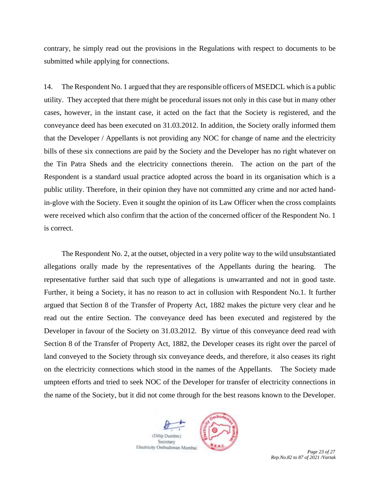contrary, he simply read out the provisions in the Regulations with respect to documents to be submitted while applying for connections.

14. The Respondent No. 1 argued that they are responsible officers of MSEDCL which is a public utility. They accepted that there might be procedural issues not only in this case but in many other cases, however, in the instant case, it acted on the fact that the Society is registered, and the conveyance deed has been executed on 31.03.2012. In addition, the Society orally informed them that the Developer / Appellants is not providing any NOC for change of name and the electricity bills of these six connections are paid by the Society and the Developer has no right whatever on the Tin Patra Sheds and the electricity connections therein. The action on the part of the Respondent is a standard usual practice adopted across the board in its organisation which is a public utility. Therefore, in their opinion they have not committed any crime and nor acted handin-glove with the Society. Even it sought the opinion of its Law Officer when the cross complaints were received which also confirm that the action of the concerned officer of the Respondent No. 1 is correct.

The Respondent No. 2, at the outset, objected in a very polite way to the wild unsubstantiated allegations orally made by the representatives of the Appellants during the hearing. The representative further said that such type of allegations is unwarranted and not in good taste. Further, it being a Society, it has no reason to act in collusion with Respondent No.1. It further argued that Section 8 of the Transfer of Property Act, 1882 makes the picture very clear and he read out the entire Section. The conveyance deed has been executed and registered by the Developer in favour of the Society on 31.03.2012. By virtue of this conveyance deed read with Section 8 of the Transfer of Property Act, 1882, the Developer ceases its right over the parcel of land conveyed to the Society through six conveyance deeds, and therefore, it also ceases its right on the electricity connections which stood in the names of the Appellants. The Society made umpteen efforts and tried to seek NOC of the Developer for transfer of electricity connections in the name of the Society, but it did not come through for the best reasons known to the Developer.



*Rep.No.82 to 87 of 2021 /Vartak*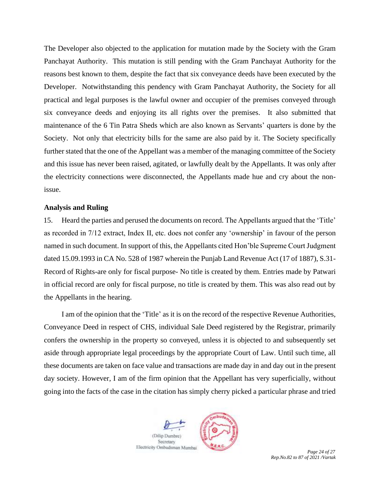The Developer also objected to the application for mutation made by the Society with the Gram Panchayat Authority. This mutation is still pending with the Gram Panchayat Authority for the reasons best known to them, despite the fact that six conveyance deeds have been executed by the Developer. Notwithstanding this pendency with Gram Panchayat Authority, the Society for all practical and legal purposes is the lawful owner and occupier of the premises conveyed through six conveyance deeds and enjoying its all rights over the premises. It also submitted that maintenance of the 6 Tin Patra Sheds which are also known as Servants' quarters is done by the Society. Not only that electricity bills for the same are also paid by it. The Society specifically further stated that the one of the Appellant was a member of the managing committee of the Society and this issue has never been raised, agitated, or lawfully dealt by the Appellants. It was only after the electricity connections were disconnected, the Appellants made hue and cry about the nonissue.

#### **Analysis and Ruling**

15. Heard the parties and perused the documents on record. The Appellants argued that the 'Title' as recorded in 7/12 extract, Index II, etc. does not confer any 'ownership' in favour of the person named in such document. In support of this, the Appellants cited Hon'ble Supreme Court Judgment dated 15.09.1993 in CA No. 528 of 1987 wherein the Punjab Land Revenue Act (17 of 1887), S.31- Record of Rights-are only for fiscal purpose- No title is created by them. Entries made by Patwari in official record are only for fiscal purpose, no title is created by them. This was also read out by the Appellants in the hearing.

I am of the opinion that the 'Title' as it is on the record of the respective Revenue Authorities, Conveyance Deed in respect of CHS, individual Sale Deed registered by the Registrar, primarily confers the ownership in the property so conveyed, unless it is objected to and subsequently set aside through appropriate legal proceedings by the appropriate Court of Law. Until such time, all these documents are taken on face value and transactions are made day in and day out in the present day society. However, I am of the firm opinion that the Appellant has very superficially, without going into the facts of the case in the citation has simply cherry picked a particular phrase and tried



*Rep.No.82 to 87 of 2021 /Vartak*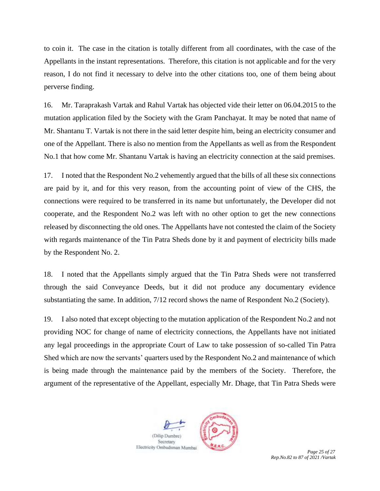to coin it. The case in the citation is totally different from all coordinates, with the case of the Appellants in the instant representations. Therefore, this citation is not applicable and for the very reason, I do not find it necessary to delve into the other citations too, one of them being about perverse finding.

16. Mr. Taraprakash Vartak and Rahul Vartak has objected vide their letter on 06.04.2015 to the mutation application filed by the Society with the Gram Panchayat. It may be noted that name of Mr. Shantanu T. Vartak is not there in the said letter despite him, being an electricity consumer and one of the Appellant. There is also no mention from the Appellants as well as from the Respondent No.1 that how come Mr. Shantanu Vartak is having an electricity connection at the said premises.

17. I noted that the Respondent No.2 vehemently argued that the bills of all these six connections are paid by it, and for this very reason, from the accounting point of view of the CHS, the connections were required to be transferred in its name but unfortunately, the Developer did not cooperate, and the Respondent No.2 was left with no other option to get the new connections released by disconnecting the old ones. The Appellants have not contested the claim of the Society with regards maintenance of the Tin Patra Sheds done by it and payment of electricity bills made by the Respondent No. 2.

18. I noted that the Appellants simply argued that the Tin Patra Sheds were not transferred through the said Conveyance Deeds, but it did not produce any documentary evidence substantiating the same. In addition, 7/12 record shows the name of Respondent No.2 (Society).

19. I also noted that except objecting to the mutation application of the Respondent No.2 and not providing NOC for change of name of electricity connections, the Appellants have not initiated any legal proceedings in the appropriate Court of Law to take possession of so-called Tin Patra Shed which are now the servants' quarters used by the Respondent No.2 and maintenance of which is being made through the maintenance paid by the members of the Society. Therefore, the argument of the representative of the Appellant, especially Mr. Dhage, that Tin Patra Sheds were

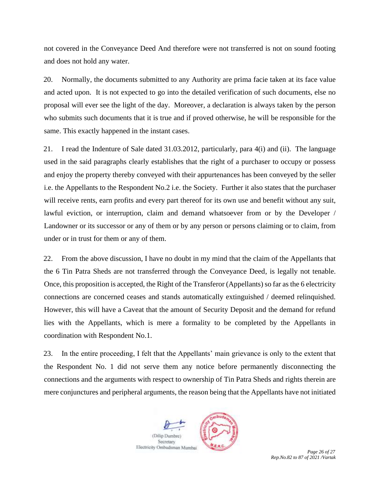not covered in the Conveyance Deed And therefore were not transferred is not on sound footing and does not hold any water.

20. Normally, the documents submitted to any Authority are prima facie taken at its face value and acted upon. It is not expected to go into the detailed verification of such documents, else no proposal will ever see the light of the day. Moreover, a declaration is always taken by the person who submits such documents that it is true and if proved otherwise, he will be responsible for the same. This exactly happened in the instant cases.

21. I read the Indenture of Sale dated 31.03.2012, particularly, para 4(i) and (ii). The language used in the said paragraphs clearly establishes that the right of a purchaser to occupy or possess and enjoy the property thereby conveyed with their appurtenances has been conveyed by the seller i.e. the Appellants to the Respondent No.2 i.e. the Society. Further it also states that the purchaser will receive rents, earn profits and every part thereof for its own use and benefit without any suit, lawful eviction, or interruption, claim and demand whatsoever from or by the Developer / Landowner or its successor or any of them or by any person or persons claiming or to claim, from under or in trust for them or any of them.

22. From the above discussion, I have no doubt in my mind that the claim of the Appellants that the 6 Tin Patra Sheds are not transferred through the Conveyance Deed, is legally not tenable. Once, this proposition is accepted, the Right of the Transferor (Appellants) so far as the 6 electricity connections are concerned ceases and stands automatically extinguished / deemed relinquished. However, this will have a Caveat that the amount of Security Deposit and the demand for refund lies with the Appellants, which is mere a formality to be completed by the Appellants in coordination with Respondent No.1.

23. In the entire proceeding, I felt that the Appellants' main grievance is only to the extent that the Respondent No. 1 did not serve them any notice before permanently disconnecting the connections and the arguments with respect to ownership of Tin Patra Sheds and rights therein are mere conjunctures and peripheral arguments, the reason being that the Appellants have not initiated



*Rep.No.82 to 87 of 2021 /Vartak*